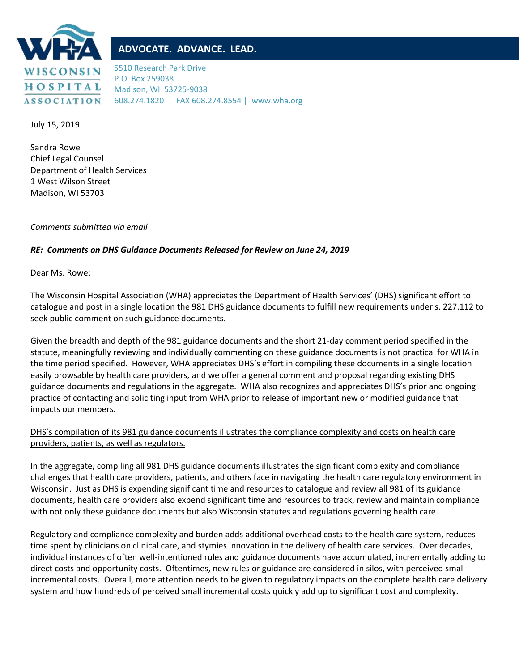

## **ADVOCATE. ADVANCE. LEAD.**

5510 Research Park Drive P.O. Box 259038 Madison, WI 53725-9038 608.274.1820 | FAX 608.274.8554 | www.wha.org

July 15, 2019

Sandra Rowe Chief Legal Counsel Department of Health Services 1 West Wilson Street Madison, WI 53703

*Comments submitted via email*

## *RE: Comments on DHS Guidance Documents Released for Review on June 24, 2019*

Dear Ms. Rowe:

The Wisconsin Hospital Association (WHA) appreciates the Department of Health Services' (DHS) significant effort to catalogue and post in a single location the 981 DHS guidance documents to fulfill new requirements under s. 227.112 to seek public comment on such guidance documents.

Given the breadth and depth of the 981 guidance documents and the short 21-day comment period specified in the statute, meaningfully reviewing and individually commenting on these guidance documents is not practical for WHA in the time period specified. However, WHA appreciates DHS's effort in compiling these documents in a single location easily browsable by health care providers, and we offer a general comment and proposal regarding existing DHS guidance documents and regulations in the aggregate. WHA also recognizes and appreciates DHS's prior and ongoing practice of contacting and soliciting input from WHA prior to release of important new or modified guidance that impacts our members.

## DHS's compilation of its 981 guidance documents illustrates the compliance complexity and costs on health care providers, patients, as well as regulators.

In the aggregate, compiling all 981 DHS guidance documents illustrates the significant complexity and compliance challenges that health care providers, patients, and others face in navigating the health care regulatory environment in Wisconsin. Just as DHS is expending significant time and resources to catalogue and review all 981 of its guidance documents, health care providers also expend significant time and resources to track, review and maintain compliance with not only these guidance documents but also Wisconsin statutes and regulations governing health care.

Regulatory and compliance complexity and burden adds additional overhead costs to the health care system, reduces time spent by clinicians on clinical care, and stymies innovation in the delivery of health care services. Over decades, individual instances of often well-intentioned rules and guidance documents have accumulated, incrementally adding to direct costs and opportunity costs. Oftentimes, new rules or guidance are considered in silos, with perceived small incremental costs. Overall, more attention needs to be given to regulatory impacts on the complete health care delivery system and how hundreds of perceived small incremental costs quickly add up to significant cost and complexity.